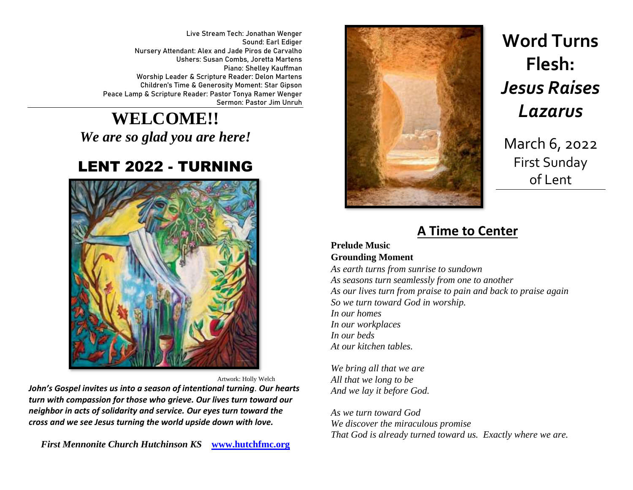Live Stream Tech: Jonathan Wenger Sound: Earl Ediger Nursery Attendant: Alex and Jade Piros de Carvalho Ushers: Susan Combs, Joretta Martens Piano: Shelley Kauffman Worship Leader & Scripture Reader: Delon Martens Children's Time & Generosity Moment: Star Gipson Peace Lamp & Scripture Reader: Pastor Tonya Ramer Wenger Sermon: Pastor Jim Unruh

**WELCOME!!**  *We are so glad you are here!*

## LENT 2022 - TURNING



Artwork: Holly Welch

*John's Gospel invites us into a season of intentional turning. Our hearts turn with compassion for those who grieve. Our lives turn toward our neighbor in acts of solidarity and service. Our eyes turn toward the cross and we see Jesus turning the world upside down with love.*

*First Mennonite Church Hutchinson KS* **[www.hutchfmc.org](http://www.hutchfmc.org/)**



# **Word Turns Flesh:** *Jesus Raises Lazarus*

March 6, 2022 First Sunday of Lent

### **A Time to Center**

#### **Prelude Music Grounding Moment**

*As earth turns from sunrise to sundown As seasons turn seamlessly from one to another As our lives turn from praise to pain and back to praise again So we turn toward God in worship. In our homes In our workplaces In our beds At our kitchen tables.*

*We bring all that we are All that we long to be And we lay it before God.*

*As we turn toward God We discover the miraculous promise That God is already turned toward us. Exactly where we are.*